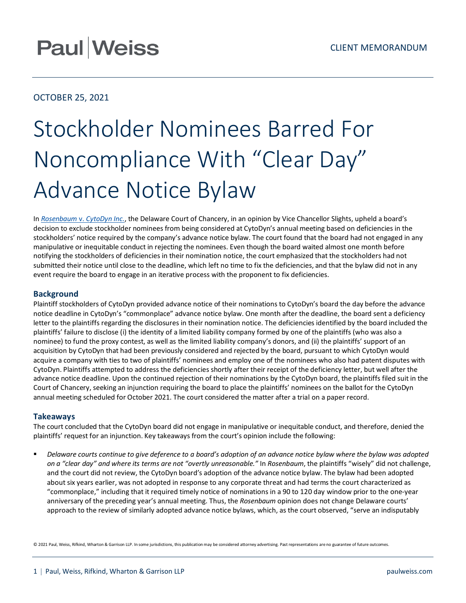# **Paul Weiss**

# OCTOBER 25, 2021

# Stockholder Nominees Barred For Noncompliance With "Clear Day" Advance Notice Bylaw

In *Rosenbaum* v. *[CytoDyn Inc.](https://courts.delaware.gov/Opinions/Download.aspx?id=325470)*, the Delaware Court of Chancery, in an opinion by Vice Chancellor Slights, upheld a board's decision to exclude stockholder nominees from being considered at CytoDyn's annual meeting based on deficiencies in the stockholders' notice required by the company's advance notice bylaw. The court found that the board had not engaged in any manipulative or inequitable conduct in rejecting the nominees. Even though the board waited almost one month before notifying the stockholders of deficiencies in their nomination notice, the court emphasized that the stockholders had not submitted their notice until close to the deadline, which left no time to fix the deficiencies, and that the bylaw did not in any event require the board to engage in an iterative process with the proponent to fix deficiencies.

## **Background**

Plaintiff stockholders of CytoDyn provided advance notice of their nominations to CytoDyn's board the day before the advance notice deadline in CytoDyn's "commonplace" advance notice bylaw. One month after the deadline, the board sent a deficiency letter to the plaintiffs regarding the disclosures in their nomination notice. The deficiencies identified by the board included the plaintiffs' failure to disclose (i) the identity of a limited liability company formed by one of the plaintiffs (who was also a nominee) to fund the proxy contest, as well as the limited liability company's donors, and (ii) the plaintiffs' support of an acquisition by CytoDyn that had been previously considered and rejected by the board, pursuant to which CytoDyn would acquire a company with ties to two of plaintiffs' nominees and employ one of the nominees who also had patent disputes with CytoDyn. Plaintiffs attempted to address the deficiencies shortly after their receipt of the deficiency letter, but well after the advance notice deadline. Upon the continued rejection of their nominations by the CytoDyn board, the plaintiffs filed suit in the Court of Chancery, seeking an injunction requiring the board to place the plaintiffs' nominees on the ballot for the CytoDyn annual meeting scheduled for October 2021. The court considered the matter after a trial on a paper record.

### **Takeaways**

The court concluded that the CytoDyn board did not engage in manipulative or inequitable conduct, and therefore, denied the plaintiffs' request for an injunction. Key takeaways from the court's opinion include the following:

**Phalla** *Delaware courts continue to give deference to a board's adoption of an advance notice bylaw where the bylaw was adopted on a "clear day" and where its terms are not "overtly unreasonable."* In *Rosenbaum*, the plaintiffs "wisely" did not challenge, and the court did not review, the CytoDyn board's adoption of the advance notice bylaw. The bylaw had been adopted about six years earlier, was not adopted in response to any corporate threat and had terms the court characterized as "commonplace," including that it required timely notice of nominations in a 90 to 120 day window prior to the one-year anniversary of the preceding year's annual meeting. Thus, the *Rosenbaum* opinion does not change Delaware courts' approach to the review of similarly adopted advance notice bylaws, which, as the court observed, "serve an indisputably

© 2021 Paul, Weiss, Rifkind, Wharton & Garrison LLP. In some jurisdictions, this publication may be considered attorney advertising. Past representations are no guarantee of future outcomes.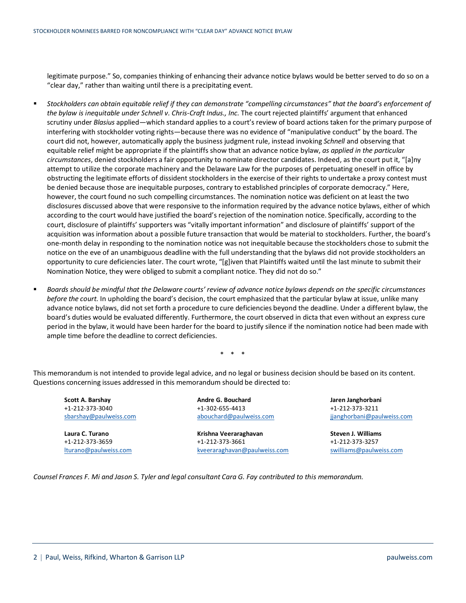legitimate purpose." So, companies thinking of enhancing their advance notice bylaws would be better served to do so on a "clear day," rather than waiting until there is a precipitating event.

- *Stockholders can obtain equitable relief if they can demonstrate "compelling circumstances" that the board's enforcement of the bylaw is inequitable under Schnell v. Chris-Craft Indus., Inc.* The court rejected plaintiffs' argument that enhanced scrutiny under *Blasius* applied—which standard applies to a court's review of board actions taken for the primary purpose of interfering with stockholder voting rights—because there was no evidence of "manipulative conduct" by the board. The court did not, however, automatically apply the business judgment rule, instead invoking *Schnell* and observing that equitable relief might be appropriate if the plaintiffs show that an advance notice bylaw, *as applied in the particular circumstances*, denied stockholders a fair opportunity to nominate director candidates. Indeed, as the court put it, "[a]ny attempt to utilize the corporate machinery and the Delaware Law for the purposes of perpetuating oneself in office by obstructing the legitimate efforts of dissident stockholders in the exercise of their rights to undertake a proxy contest must be denied because those are inequitable purposes, contrary to established principles of corporate democracy." Here, however, the court found no such compelling circumstances. The nomination notice was deficient on at least the two disclosures discussed above that were responsive to the information required by the advance notice bylaws, either of which according to the court would have justified the board's rejection of the nomination notice. Specifically, according to the court, disclosure of plaintiffs' supporters was "vitally important information" and disclosure of plaintiffs' support of the acquisition was information about a possible future transaction that would be material to stockholders. Further, the board's one-month delay in responding to the nomination notice was not inequitable because the stockholders chose to submit the notice on the eve of an unambiguous deadline with the full understanding that the bylaws did not provide stockholders an opportunity to cure deficiencies later. The court wrote, "[g]iven that Plaintiffs waited until the last minute to submit their Nomination Notice, they were obliged to submit a compliant notice. They did not do so."
- *Boards should be mindful that the Delaware courts' review of advance notice bylaws depends on the specific circumstances before the court.* In upholding the board's decision, the court emphasized that the particular bylaw at issue, unlike many advance notice bylaws, did not set forth a procedure to cure deficiencies beyond the deadline. Under a different bylaw, the board's duties would be evaluated differently. Furthermore, the court observed in dicta that even without an express cure period in the bylaw, it would have been harder for the board to justify silence if the nomination notice had been made with ample time before the deadline to correct deficiencies.

\* \* \*

This memorandum is not intended to provide legal advice, and no legal or business decision should be based on its content. Questions concerning issues addressed in this memorandum should be directed to:

**Scott A. Barshay** +1-212-373-3040 [sbarshay@paulweiss.com](mailto:sbarshay@paulweiss.com)

**Laura C. Turano** +1-212-373-3659 [lturano@paulweiss.com](mailto:lturano@paulweiss.com) **Andre G. Bouchard** +1-302-655-4413 [abouchard@paulweiss.com](mailto:abouchard@paulweiss.com)

**Krishna Veeraraghavan** +1-212-373-3661 [kveeraraghavan@paulweiss.com](mailto:kveeraraghavan@paulweiss.com) **Jaren Janghorbani** +1-212-373-3211 [jjanghorbani@paulweiss.com](mailto:jjanghorbani@paulweiss.com)

**Steven J. Williams** +1-212-373-3257 [swilliams@paulweiss.com](mailto:swilliams@paulweiss.com)

*Counsel Frances F. Mi and Jason S. Tyler and legal consultant Cara G. Fay contributed to this memorandum.*